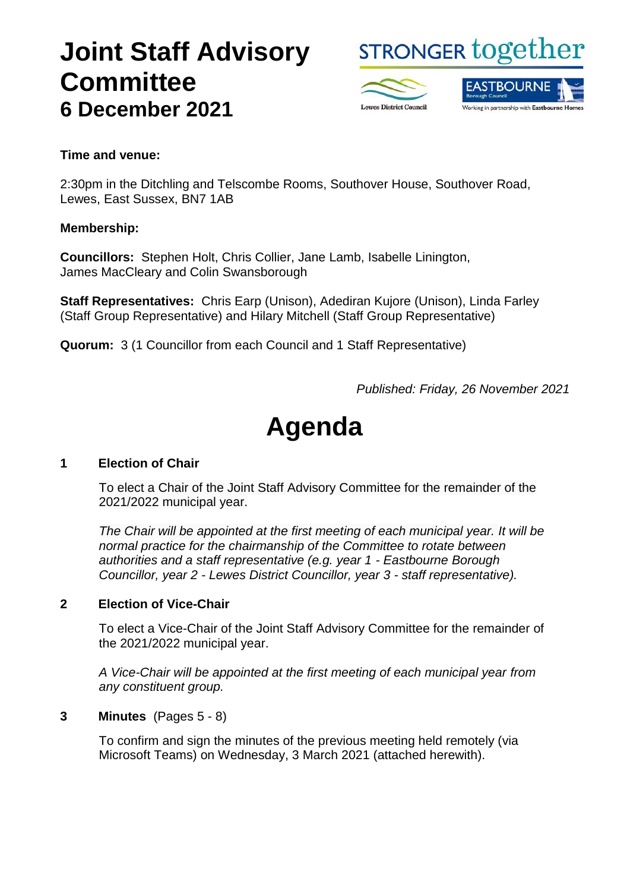## **Joint Staff Advisory Committee 6 December 2021**

**STRONGER together** 



#### **Time and venue:**

2:30pm in the Ditchling and Telscombe Rooms, Southover House, Southover Road, Lewes, East Sussex, BN7 1AB

#### **Membership:**

**Councillors:** Stephen Holt, Chris Collier, Jane Lamb, Isabelle Linington, James MacCleary and Colin Swansborough

**Staff Representatives:** Chris Earp (Unison), Adediran Kujore (Unison), Linda Farley (Staff Group Representative) and Hilary Mitchell (Staff Group Representative)

**Quorum:** 3 (1 Councillor from each Council and 1 Staff Representative)

*Published: Friday, 26 November 2021*

# **Agenda**

#### **1 Election of Chair**

To elect a Chair of the Joint Staff Advisory Committee for the remainder of the 2021/2022 municipal year.

*The Chair will be appointed at the first meeting of each municipal year. It will be normal practice for the chairmanship of the Committee to rotate between authorities and a staff representative (e.g. year 1 - Eastbourne Borough Councillor, year 2 - Lewes District Councillor, year 3 - staff representative).*

#### **2 Election of Vice-Chair**

To elect a Vice-Chair of the Joint Staff Advisory Committee for the remainder of the 2021/2022 municipal year.

*A Vice-Chair will be appointed at the first meeting of each municipal year from any constituent group.*

#### **3 Minutes** (Pages 5 - 8)

To confirm and sign the minutes of the previous meeting held remotely (via Microsoft Teams) on Wednesday, 3 March 2021 (attached herewith).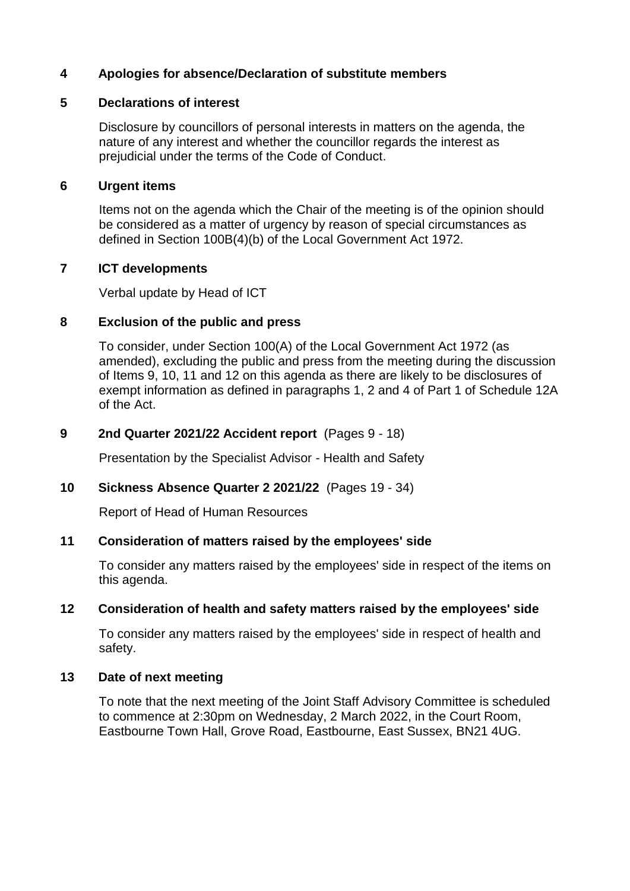#### **4 Apologies for absence/Declaration of substitute members**

#### **5 Declarations of interest**

Disclosure by councillors of personal interests in matters on the agenda, the nature of any interest and whether the councillor regards the interest as prejudicial under the terms of the Code of Conduct.

#### **6 Urgent items**

Items not on the agenda which the Chair of the meeting is of the opinion should be considered as a matter of urgency by reason of special circumstances as defined in Section 100B(4)(b) of the Local Government Act 1972.

#### **7 ICT developments**

Verbal update by Head of ICT

#### **8 Exclusion of the public and press**

To consider, under Section 100(A) of the Local Government Act 1972 (as amended), excluding the public and press from the meeting during the discussion of Items 9, 10, 11 and 12 on this agenda as there are likely to be disclosures of exempt information as defined in paragraphs 1, 2 and 4 of Part 1 of Schedule 12A of the Act.

#### **9 2nd Quarter 2021/22 Accident report** (Pages 9 - 18)

Presentation by the Specialist Advisor - Health and Safety

#### **10 Sickness Absence Quarter 2 2021/22** (Pages 19 - 34)

Report of Head of Human Resources

#### **11 Consideration of matters raised by the employees' side**

To consider any matters raised by the employees' side in respect of the items on this agenda.

#### **12 Consideration of health and safety matters raised by the employees' side**

To consider any matters raised by the employees' side in respect of health and safety.

#### **13 Date of next meeting**

To note that the next meeting of the Joint Staff Advisory Committee is scheduled to commence at 2:30pm on Wednesday, 2 March 2022, in the Court Room, Eastbourne Town Hall, Grove Road, Eastbourne, East Sussex, BN21 4UG.